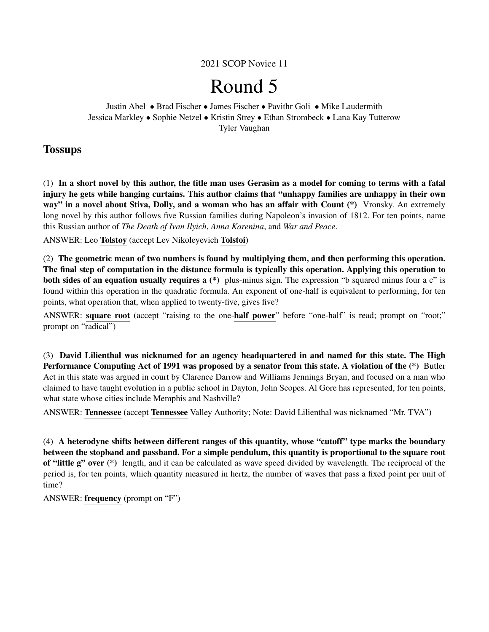2021 SCOP Novice 11

# Round 5

Justin Abel • Brad Fischer • James Fischer • Pavithr Goli • Mike Laudermith Jessica Markley • Sophie Netzel • Kristin Strey • Ethan Strombeck • Lana Kay Tutterow Tyler Vaughan

# **Tossups**

(1) In a short novel by this author, the title man uses Gerasim as a model for coming to terms with a fatal injury he gets while hanging curtains. This author claims that "unhappy families are unhappy in their own way" in a novel about Stiva, Dolly, and a woman who has an affair with Count (\*) Vronsky. An extremely long novel by this author follows five Russian families during Napoleon's invasion of 1812. For ten points, name this Russian author of *The Death of Ivan Ilyich*, *Anna Karenina*, and *War and Peace*.

ANSWER: Leo Tolstoy (accept Lev Nikoleyevich Tolstoi)

(2) The geometric mean of two numbers is found by multiplying them, and then performing this operation. The final step of computation in the distance formula is typically this operation. Applying this operation to both sides of an equation usually requires a (\*) plus-minus sign. The expression "b squared minus four a c" is found within this operation in the quadratic formula. An exponent of one-half is equivalent to performing, for ten points, what operation that, when applied to twenty-five, gives five?

ANSWER: square root (accept "raising to the one-half power" before "one-half" is read; prompt on "root;" prompt on "radical")

(3) David Lilienthal was nicknamed for an agency headquartered in and named for this state. The High Performance Computing Act of 1991 was proposed by a senator from this state. A violation of the (\*) Butler Act in this state was argued in court by Clarence Darrow and Williams Jennings Bryan, and focused on a man who claimed to have taught evolution in a public school in Dayton, John Scopes. Al Gore has represented, for ten points, what state whose cities include Memphis and Nashville?

ANSWER: Tennessee (accept Tennessee Valley Authority; Note: David Lilienthal was nicknamed "Mr. TVA")

(4) A heterodyne shifts between different ranges of this quantity, whose "cutoff" type marks the boundary between the stopband and passband. For a simple pendulum, this quantity is proportional to the square root of "little g" over (\*) length, and it can be calculated as wave speed divided by wavelength. The reciprocal of the period is, for ten points, which quantity measured in hertz, the number of waves that pass a fixed point per unit of time?

ANSWER: frequency (prompt on "F")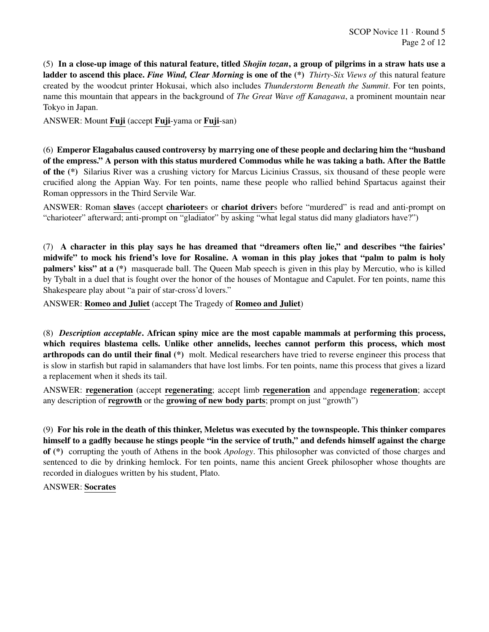(5) In a close-up image of this natural feature, titled *Shojin tozan*, a group of pilgrims in a straw hats use a ladder to ascend this place. *Fine Wind, Clear Morning* is one of the (\*) *Thirty-Six Views of* this natural feature created by the woodcut printer Hokusai, which also includes *Thunderstorm Beneath the Summit*. For ten points, name this mountain that appears in the background of *The Great Wave off Kanagawa*, a prominent mountain near Tokyo in Japan.

ANSWER: Mount Fuji (accept Fuji-yama or Fuji-san)

(6) Emperor Elagabalus caused controversy by marrying one of these people and declaring him the "husband of the empress." A person with this status murdered Commodus while he was taking a bath. After the Battle of the (\*) Silarius River was a crushing victory for Marcus Licinius Crassus, six thousand of these people were crucified along the Appian Way. For ten points, name these people who rallied behind Spartacus against their Roman oppressors in the Third Servile War.

ANSWER: Roman slaves (accept charioteers or chariot drivers before "murdered" is read and anti-prompt on "charioteer" afterward; anti-prompt on "gladiator" by asking "what legal status did many gladiators have?")

(7) A character in this play says he has dreamed that "dreamers often lie," and describes "the fairies' midwife" to mock his friend's love for Rosaline. A woman in this play jokes that "palm to palm is holy palmers' kiss" at a (\*) masquerade ball. The Queen Mab speech is given in this play by Mercutio, who is killed by Tybalt in a duel that is fought over the honor of the houses of Montague and Capulet. For ten points, name this Shakespeare play about "a pair of star-cross'd lovers."

ANSWER: Romeo and Juliet (accept The Tragedy of Romeo and Juliet)

(8) *Description acceptable*. African spiny mice are the most capable mammals at performing this process, which requires blastema cells. Unlike other annelids, leeches cannot perform this process, which most arthropods can do until their final (\*) molt. Medical researchers have tried to reverse engineer this process that is slow in starfish but rapid in salamanders that have lost limbs. For ten points, name this process that gives a lizard a replacement when it sheds its tail.

ANSWER: regeneration (accept regenerating; accept limb regeneration and appendage regeneration; accept any description of regrowth or the growing of new body parts; prompt on just "growth")

(9) For his role in the death of this thinker, Meletus was executed by the townspeople. This thinker compares himself to a gadfly because he stings people "in the service of truth," and defends himself against the charge of (\*) corrupting the youth of Athens in the book *Apology*. This philosopher was convicted of those charges and sentenced to die by drinking hemlock. For ten points, name this ancient Greek philosopher whose thoughts are recorded in dialogues written by his student, Plato.

ANSWER: Socrates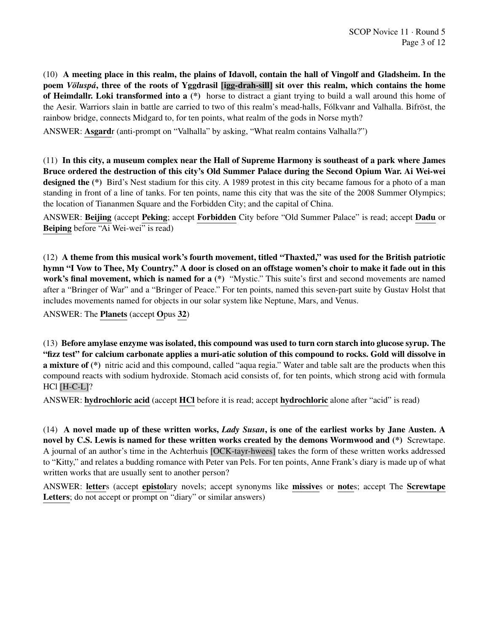(10) A meeting place in this realm, the plains of Idavoll, contain the hall of Vingolf and Gladsheim. In the poem *Völuspá*, three of the roots of Yggdrasil [igg-drah-sill] sit over this realm, which contains the home of Heimdallr. Loki transformed into a (\*) horse to distract a giant trying to build a wall around this home of the Aesir. Warriors slain in battle are carried to two of this realm's mead-halls, Fólkvanr and Valhalla. Bifröst, the rainbow bridge, connects Midgard to, for ten points, what realm of the gods in Norse myth?

ANSWER: Asgardr (anti-prompt on "Valhalla" by asking, "What realm contains Valhalla?")

(11) In this city, a museum complex near the Hall of Supreme Harmony is southeast of a park where James Bruce ordered the destruction of this city's Old Summer Palace during the Second Opium War. Ai Wei-wei designed the (\*) Bird's Nest stadium for this city. A 1989 protest in this city became famous for a photo of a man standing in front of a line of tanks. For ten points, name this city that was the site of the 2008 Summer Olympics; the location of Tiananmen Square and the Forbidden City; and the capital of China.

ANSWER: Beijing (accept Peking; accept Forbidden City before "Old Summer Palace" is read; accept Dadu or Beiping before "Ai Wei-wei" is read)

(12) A theme from this musical work's fourth movement, titled "Thaxted," was used for the British patriotic hymn "I Vow to Thee, My Country." A door is closed on an offstage women's choir to make it fade out in this work's final movement, which is named for a (\*) "Mystic." This suite's first and second movements are named after a "Bringer of War" and a "Bringer of Peace." For ten points, named this seven-part suite by Gustav Holst that includes movements named for objects in our solar system like Neptune, Mars, and Venus.

ANSWER: The Planets (accept Opus 32)

(13) Before amylase enzyme was isolated, this compound was used to turn corn starch into glucose syrup. The "fizz test" for calcium carbonate applies a muri-atic solution of this compound to rocks. Gold will dissolve in a mixture of (\*) nitric acid and this compound, called "aqua regia." Water and table salt are the products when this compound reacts with sodium hydroxide. Stomach acid consists of, for ten points, which strong acid with formula HCl [H-C-L]?

ANSWER: hydrochloric acid (accept HCl before it is read; accept hydrochloric alone after "acid" is read)

(14) A novel made up of these written works, *Lady Susan*, is one of the earliest works by Jane Austen. A novel by C.S. Lewis is named for these written works created by the demons Wormwood and (\*) Screwtape. A journal of an author's time in the Achterhuis [OCK-tayr-hwees] takes the form of these written works addressed to "Kitty," and relates a budding romance with Peter van Pels. For ten points, Anne Frank's diary is made up of what written works that are usually sent to another person?

ANSWER: letters (accept epistolary novels; accept synonyms like missives or notes; accept The Screwtape Letters; do not accept or prompt on "diary" or similar answers)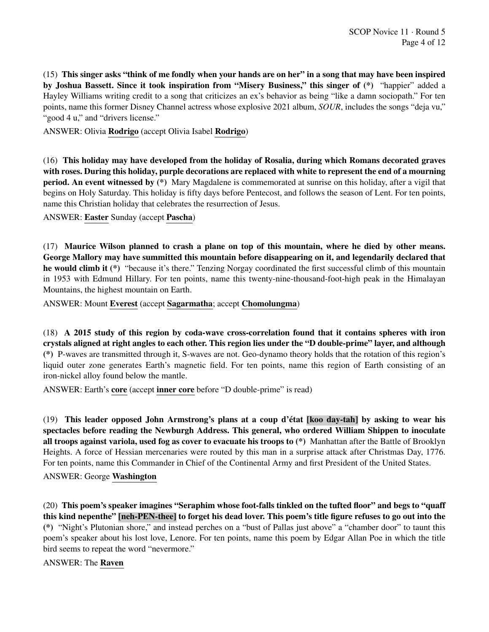(15) This singer asks "think of me fondly when your hands are on her" in a song that may have been inspired by Joshua Bassett. Since it took inspiration from "Misery Business," this singer of (\*) "happier" added a Hayley Williams writing credit to a song that criticizes an ex's behavior as being "like a damn sociopath." For ten points, name this former Disney Channel actress whose explosive 2021 album, *SOUR*, includes the songs "deja vu," "good 4 u," and "drivers license."

ANSWER: Olivia Rodrigo (accept Olivia Isabel Rodrigo)

(16) This holiday may have developed from the holiday of Rosalia, during which Romans decorated graves with roses. During this holiday, purple decorations are replaced with white to represent the end of a mourning period. An event witnessed by (\*) Mary Magdalene is commemorated at sunrise on this holiday, after a vigil that begins on Holy Saturday. This holiday is fifty days before Pentecost, and follows the season of Lent. For ten points, name this Christian holiday that celebrates the resurrection of Jesus.

ANSWER: Easter Sunday (accept Pascha)

(17) Maurice Wilson planned to crash a plane on top of this mountain, where he died by other means. George Mallory may have summitted this mountain before disappearing on it, and legendarily declared that he would climb it (\*) "because it's there." Tenzing Norgay coordinated the first successful climb of this mountain in 1953 with Edmund Hillary. For ten points, name this twenty-nine-thousand-foot-high peak in the Himalayan Mountains, the highest mountain on Earth.

ANSWER: Mount Everest (accept Sagarmatha; accept Chomolungma)

(18) A 2015 study of this region by coda-wave cross-correlation found that it contains spheres with iron crystals aligned at right angles to each other. This region lies under the "D double-prime" layer, and although (\*) P-waves are transmitted through it, S-waves are not. Geo-dynamo theory holds that the rotation of this region's liquid outer zone generates Earth's magnetic field. For ten points, name this region of Earth consisting of an iron-nickel alloy found below the mantle.

ANSWER: Earth's core (accept inner core before "D double-prime" is read)

(19) This leader opposed John Armstrong's plans at a coup d'etat ´ [koo day-tah] by asking to wear his spectacles before reading the Newburgh Address. This general, who ordered William Shippen to inoculate all troops against variola, used fog as cover to evacuate his troops to (\*) Manhattan after the Battle of Brooklyn Heights. A force of Hessian mercenaries were routed by this man in a surprise attack after Christmas Day, 1776. For ten points, name this Commander in Chief of the Continental Army and first President of the United States.

ANSWER: George Washington

(20) This poem's speaker imagines "Seraphim whose foot-falls tinkled on the tufted floor" and begs to "quaff this kind nepenthe" [neh-PEN-thee] to forget his dead lover. This poem's title figure refuses to go out into the (\*) "Night's Plutonian shore," and instead perches on a "bust of Pallas just above" a "chamber door" to taunt this poem's speaker about his lost love, Lenore. For ten points, name this poem by Edgar Allan Poe in which the title bird seems to repeat the word "nevermore."

ANSWER: The Raven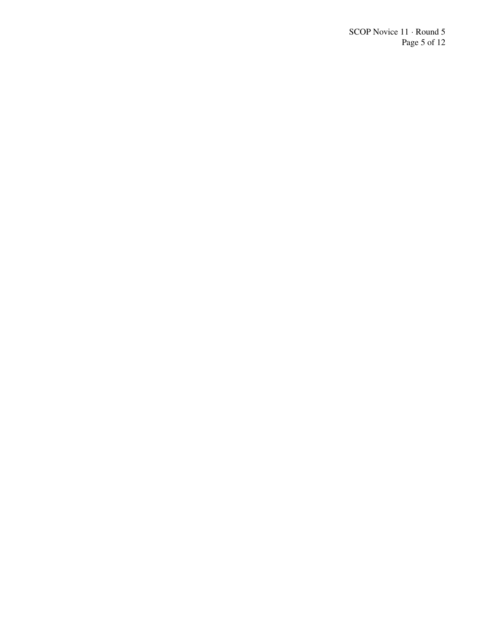SCOP Novice 11 · Round 5 Page 5 of 12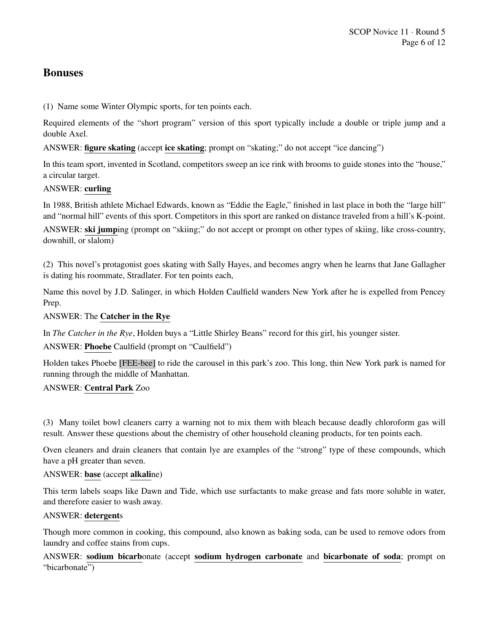# Bonuses

(1) Name some Winter Olympic sports, for ten points each.

Required elements of the "short program" version of this sport typically include a double or triple jump and a double Axel.

ANSWER: figure skating (accept ice skating; prompt on "skating;" do not accept "ice dancing")

In this team sport, invented in Scotland, competitors sweep an ice rink with brooms to guide stones into the "house," a circular target.

## ANSWER: curling

In 1988, British athlete Michael Edwards, known as "Eddie the Eagle," finished in last place in both the "large hill" and "normal hill" events of this sport. Competitors in this sport are ranked on distance traveled from a hill's K-point.

ANSWER: ski jumping (prompt on "skiing;" do not accept or prompt on other types of skiing, like cross-country, downhill, or slalom)

(2) This novel's protagonist goes skating with Sally Hayes, and becomes angry when he learns that Jane Gallagher is dating his roommate, Stradlater. For ten points each,

Name this novel by J.D. Salinger, in which Holden Caulfield wanders New York after he is expelled from Pencey Prep.

ANSWER: The Catcher in the Rye

In *The Catcher in the Rye*, Holden buys a "Little Shirley Beans" record for this girl, his younger sister.

ANSWER: Phoebe Caulfield (prompt on "Caulfield")

Holden takes Phoebe [FEE-bee] to ride the carousel in this park's zoo. This long, thin New York park is named for running through the middle of Manhattan.

# ANSWER: Central Park Zoo

(3) Many toilet bowl cleaners carry a warning not to mix them with bleach because deadly chloroform gas will result. Answer these questions about the chemistry of other household cleaning products, for ten points each.

Oven cleaners and drain cleaners that contain lye are examples of the "strong" type of these compounds, which have a pH greater than seven.

# ANSWER: base (accept alkaline)

This term labels soaps like Dawn and Tide, which use surfactants to make grease and fats more soluble in water, and therefore easier to wash away.

#### ANSWER: detergents

Though more common in cooking, this compound, also known as baking soda, can be used to remove odors from laundry and coffee stains from cups.

ANSWER: sodium bicarbonate (accept sodium hydrogen carbonate and bicarbonate of soda; prompt on "bicarbonate")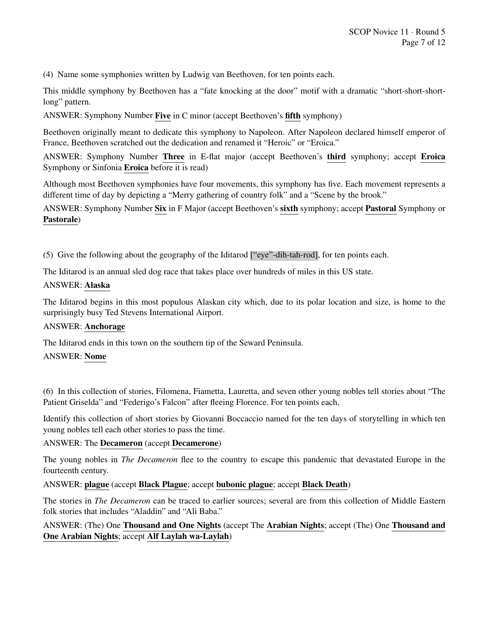(4) Name some symphonies written by Ludwig van Beethoven, for ten points each.

This middle symphony by Beethoven has a "fate knocking at the door" motif with a dramatic "short-short-shortlong" pattern.

ANSWER: Symphony Number Five in C minor (accept Beethoven's fifth symphony)

Beethoven originally meant to dedicate this symphony to Napoleon. After Napoleon declared himself emperor of France, Beethoven scratched out the dedication and renamed it "Heroic" or "Eroica."

ANSWER: Symphony Number Three in E-flat major (accept Beethoven's third symphony; accept Eroica Symphony or Sinfonia Eroica before it is read)

Although most Beethoven symphonies have four movements, this symphony has five. Each movement represents a different time of day by depicting a "Merry gathering of country folk" and a "Scene by the brook."

ANSWER: Symphony Number Six in F Major (accept Beethoven's sixth symphony; accept Pastoral Symphony or Pastorale)

(5) Give the following about the geography of the Iditarod ["eye"-dih-tah-rod], for ten points each.

The Iditarod is an annual sled dog race that takes place over hundreds of miles in this US state.

#### ANSWER: Alaska

The Iditarod begins in this most populous Alaskan city which, due to its polar location and size, is home to the surprisingly busy Ted Stevens International Airport.

#### ANSWER: Anchorage

The Iditarod ends in this town on the southern tip of the Seward Peninsula.

#### ANSWER: Nome

(6) In this collection of stories, Filomena, Fiametta, Lauretta, and seven other young nobles tell stories about "The Patient Griselda" and "Federigo's Falcon" after fleeing Florence. For ten points each,

Identify this collection of short stories by Giovanni Boccaccio named for the ten days of storytelling in which ten young nobles tell each other stories to pass the time.

#### ANSWER: The Decameron (accept Decamerone)

The young nobles in *The Decameron* flee to the country to escape this pandemic that devastated Europe in the fourteenth century.

#### ANSWER: plague (accept Black Plague; accept bubonic plague; accept Black Death)

The stories in *The Decameron* can be traced to earlier sources; several are from this collection of Middle Eastern folk stories that includes "Aladdin" and "Ali Baba."

# ANSWER: (The) One Thousand and One Nights (accept The Arabian Nights; accept (The) One Thousand and One Arabian Nights; accept Alf Laylah wa-Laylah)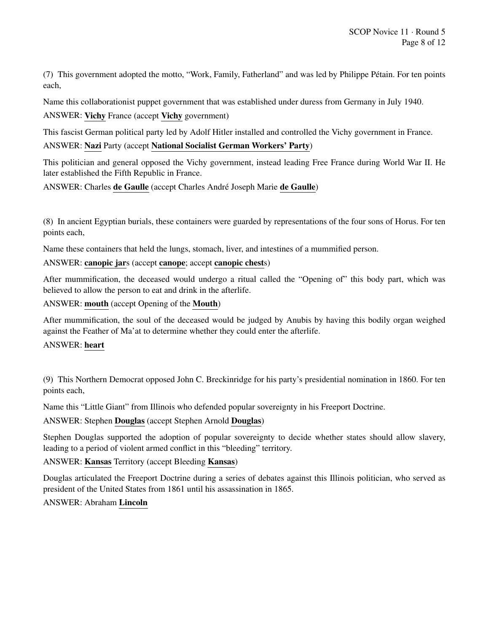(7) This government adopted the motto, "Work, Family, Fatherland" and was led by Philippe Petain. For ten points ´ each,

Name this collaborationist puppet government that was established under duress from Germany in July 1940.

ANSWER: Vichy France (accept Vichy government)

This fascist German political party led by Adolf Hitler installed and controlled the Vichy government in France.

ANSWER: Nazi Party (accept National Socialist German Workers' Party)

This politician and general opposed the Vichy government, instead leading Free France during World War II. He later established the Fifth Republic in France.

ANSWER: Charles de Gaulle (accept Charles André Joseph Marie de Gaulle)

(8) In ancient Egyptian burials, these containers were guarded by representations of the four sons of Horus. For ten points each,

Name these containers that held the lungs, stomach, liver, and intestines of a mummified person.

ANSWER: canopic jars (accept canope; accept canopic chests)

After mummification, the deceased would undergo a ritual called the "Opening of" this body part, which was believed to allow the person to eat and drink in the afterlife.

ANSWER: mouth (accept Opening of the Mouth)

After mummification, the soul of the deceased would be judged by Anubis by having this bodily organ weighed against the Feather of Ma'at to determine whether they could enter the afterlife.

ANSWER: heart

(9) This Northern Democrat opposed John C. Breckinridge for his party's presidential nomination in 1860. For ten points each,

Name this "Little Giant" from Illinois who defended popular sovereignty in his Freeport Doctrine.

ANSWER: Stephen Douglas (accept Stephen Arnold Douglas)

Stephen Douglas supported the adoption of popular sovereignty to decide whether states should allow slavery, leading to a period of violent armed conflict in this "bleeding" territory.

ANSWER: Kansas Territory (accept Bleeding Kansas)

Douglas articulated the Freeport Doctrine during a series of debates against this Illinois politician, who served as president of the United States from 1861 until his assassination in 1865.

ANSWER: Abraham Lincoln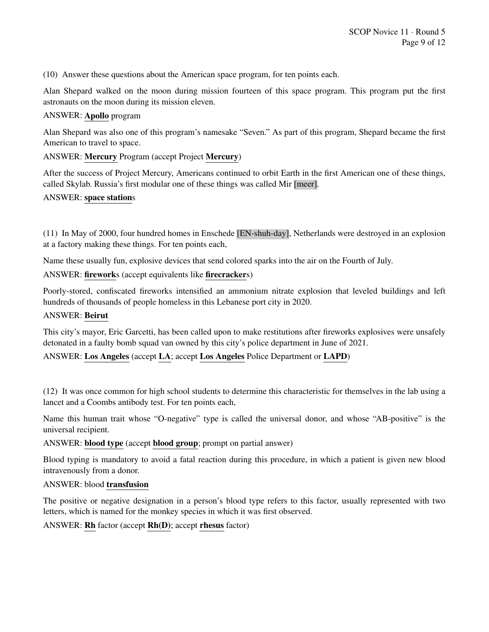(10) Answer these questions about the American space program, for ten points each.

Alan Shepard walked on the moon during mission fourteen of this space program. This program put the first astronauts on the moon during its mission eleven.

#### ANSWER: Apollo program

Alan Shepard was also one of this program's namesake "Seven." As part of this program, Shepard became the first American to travel to space.

# ANSWER: Mercury Program (accept Project Mercury)

After the success of Project Mercury, Americans continued to orbit Earth in the first American one of these things, called Skylab. Russia's first modular one of these things was called Mir [meer].

#### ANSWER: space stations

(11) In May of 2000, four hundred homes in Enschede [EN-shuh-day], Netherlands were destroyed in an explosion at a factory making these things. For ten points each,

Name these usually fun, explosive devices that send colored sparks into the air on the Fourth of July.

ANSWER: fireworks (accept equivalents like firecrackers)

Poorly-stored, confiscated fireworks intensified an ammonium nitrate explosion that leveled buildings and left hundreds of thousands of people homeless in this Lebanese port city in 2020.

#### ANSWER: Beirut

This city's mayor, Eric Garcetti, has been called upon to make restitutions after fireworks explosives were unsafely detonated in a faulty bomb squad van owned by this city's police department in June of 2021.

ANSWER: Los Angeles (accept LA; accept Los Angeles Police Department or LAPD)

(12) It was once common for high school students to determine this characteristic for themselves in the lab using a lancet and a Coombs antibody test. For ten points each,

Name this human trait whose "O-negative" type is called the universal donor, and whose "AB-positive" is the universal recipient.

#### ANSWER: blood type (accept blood group; prompt on partial answer)

Blood typing is mandatory to avoid a fatal reaction during this procedure, in which a patient is given new blood intravenously from a donor.

#### ANSWER: blood transfusion

The positive or negative designation in a person's blood type refers to this factor, usually represented with two letters, which is named for the monkey species in which it was first observed.

ANSWER: Rh factor (accept Rh(D); accept rhesus factor)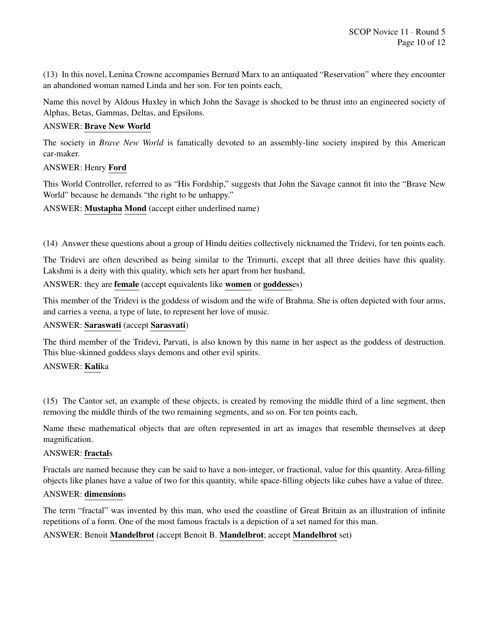(13) In this novel, Lenina Crowne accompanies Bernard Marx to an antiquated "Reservation" where they encounter an abandoned woman named Linda and her son. For ten points each,

Name this novel by Aldous Huxley in which John the Savage is shocked to be thrust into an engineered society of Alphas, Betas, Gammas, Deltas, and Epsilons.

#### ANSWER: Brave New World

The society in *Brave New World* is fanatically devoted to an assembly-line society inspired by this American car-maker.

# ANSWER: Henry Ford

This World Controller, referred to as "His Fordship," suggests that John the Savage cannot fit into the "Brave New World" because he demands "the right to be unhappy."

ANSWER: Mustapha Mond (accept either underlined name)

(14) Answer these questions about a group of Hindu deities collectively nicknamed the Tridevi, for ten points each.

The Tridevi are often described as being similar to the Trimurti, except that all three deities have this quality. Lakshmi is a deity with this quality, which sets her apart from her husband,

ANSWER: they are female (accept equivalents like women or goddesses)

This member of the Tridevi is the goddess of wisdom and the wife of Brahma. She is often depicted with four arms, and carries a veena, a type of lute, to represent her love of music.

# ANSWER: Saraswati (accept Sarasvati)

The third member of the Tridevi, Parvati, is also known by this name in her aspect as the goddess of destruction. This blue-skinned goddess slays demons and other evil spirits.

#### ANSWER: Kalika

(15) The Cantor set, an example of these objects, is created by removing the middle third of a line segment, then removing the middle thirds of the two remaining segments, and so on. For ten points each,

Name these mathematical objects that are often represented in art as images that resemble themselves at deep magnification.

#### ANSWER: fractals

Fractals are named because they can be said to have a non-integer, or fractional, value for this quantity. Area-filling objects like planes have a value of two for this quantity, while space-filling objects like cubes have a value of three.

# ANSWER: dimensions

The term "fractal" was invented by this man, who used the coastline of Great Britain as an illustration of infinite repetitions of a form. One of the most famous fractals is a depiction of a set named for this man.

ANSWER: Benoit Mandelbrot (accept Benoit B. Mandelbrot; accept Mandelbrot set)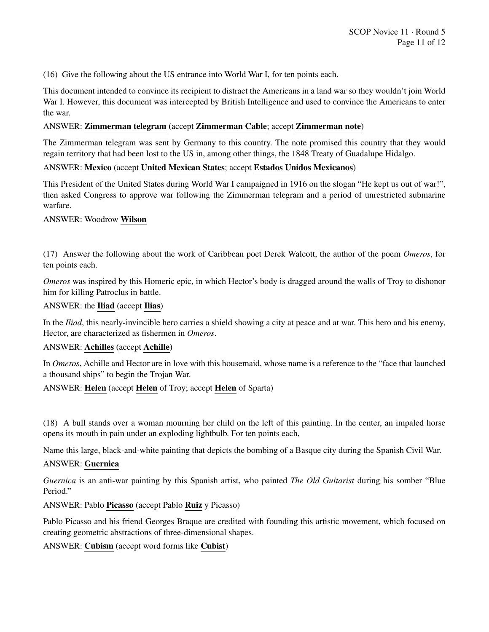(16) Give the following about the US entrance into World War I, for ten points each.

This document intended to convince its recipient to distract the Americans in a land war so they wouldn't join World War I. However, this document was intercepted by British Intelligence and used to convince the Americans to enter the war.

#### ANSWER: Zimmerman telegram (accept Zimmerman Cable; accept Zimmerman note)

The Zimmerman telegram was sent by Germany to this country. The note promised this country that they would regain territory that had been lost to the US in, among other things, the 1848 Treaty of Guadalupe Hidalgo.

# ANSWER: Mexico (accept United Mexican States; accept Estados Unidos Mexicanos)

This President of the United States during World War I campaigned in 1916 on the slogan "He kept us out of war!", then asked Congress to approve war following the Zimmerman telegram and a period of unrestricted submarine warfare.

#### ANSWER: Woodrow Wilson

(17) Answer the following about the work of Caribbean poet Derek Walcott, the author of the poem *Omeros*, for ten points each.

*Omeros* was inspired by this Homeric epic, in which Hector's body is dragged around the walls of Troy to dishonor him for killing Patroclus in battle.

#### ANSWER: the Iliad (accept Ilias)

In the *Iliad*, this nearly-invincible hero carries a shield showing a city at peace and at war. This hero and his enemy, Hector, are characterized as fishermen in *Omeros*.

#### ANSWER: Achilles (accept Achille)

In *Omeros*, Achille and Hector are in love with this housemaid, whose name is a reference to the "face that launched a thousand ships" to begin the Trojan War.

#### ANSWER: Helen (accept Helen of Troy; accept Helen of Sparta)

(18) A bull stands over a woman mourning her child on the left of this painting. In the center, an impaled horse opens its mouth in pain under an exploding lightbulb. For ten points each,

Name this large, black-and-white painting that depicts the bombing of a Basque city during the Spanish Civil War.

#### ANSWER: Guernica

*Guernica* is an anti-war painting by this Spanish artist, who painted *The Old Guitarist* during his somber "Blue Period."

ANSWER: Pablo Picasso (accept Pablo Ruiz y Picasso)

Pablo Picasso and his friend Georges Braque are credited with founding this artistic movement, which focused on creating geometric abstractions of three-dimensional shapes.

ANSWER: Cubism (accept word forms like Cubist)